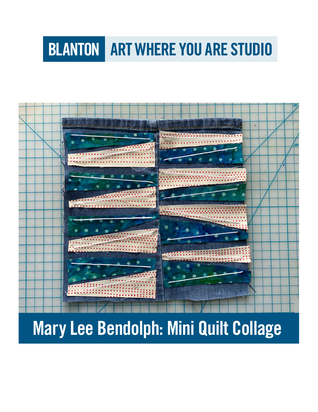# **BLANTON ART WHERE YOU ARE STUDIO**



# Mary Lee Bendolph: Mini Quilt Collage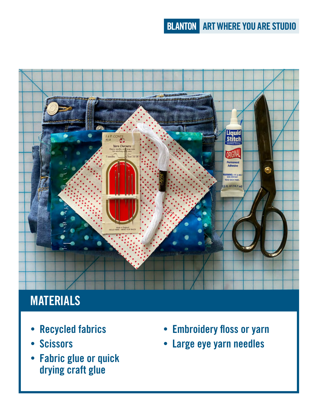## **BLANTON ART WHERE YOU ARE STUDIO**



# **MATERIALS**

- Recycled fabrics
- Scissors
- Fabric glue or quick drying craft glue
- Embroidery floss or yarn
- Large eye yarn needles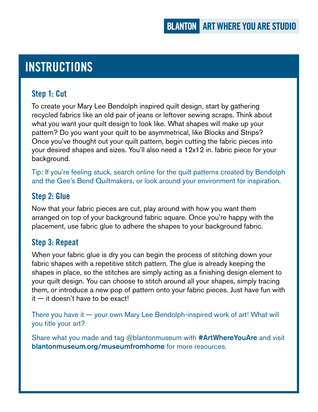## INSTRUCTIONS

#### Step 1: Cut

To create your Mary Lee Bendolph inspired quilt design, start by gathering recycled fabrics like an old pair of jeans or leftover sewing scraps. Think about what you want your quilt design to look like. What shapes will make up your pattern? Do you want your quilt to be asymmetrical, like Blocks and Strips? Once you've thought out your quilt pattern, begin cutting the fabric pieces into your desired shapes and sizes. You'll also need a 12x12 in. fabric piece for your background.

Tip: If you're feeling stuck, search online for the quilt patterns created by Bendolph and the Gee's Bend Quiltmakers, or look around your environment for inspiration.

#### Step 2: Glue

Now that your fabric pieces are cut, play around with how you want them arranged on top of your background fabric square. Once you're happy with the placement, use fabric glue to adhere the shapes to your background fabric.

#### Step 3: Repeat

When your fabric glue is dry you can begin the process of stitching down your fabric shapes with a repetitive stitch pattern. The glue is already keeping the shapes in place, so the stitches are simply acting as a finishing design element to your quilt design. You can choose to stitch around all your shapes, simply tracing them, or introduce a new pop of pattern onto your fabric pieces. Just have fun with it — it doesn't have to be exact!

There you have it — your own Mary Lee Bendolph-inspired work of art! What will you title your art?

Share what you made and tag @blantonmuseum with #ArtWhereYouAre and visit [blantonmuseum.org/museumfromhome](http://blantonmuseum.org/museumfromhome) for more resources.